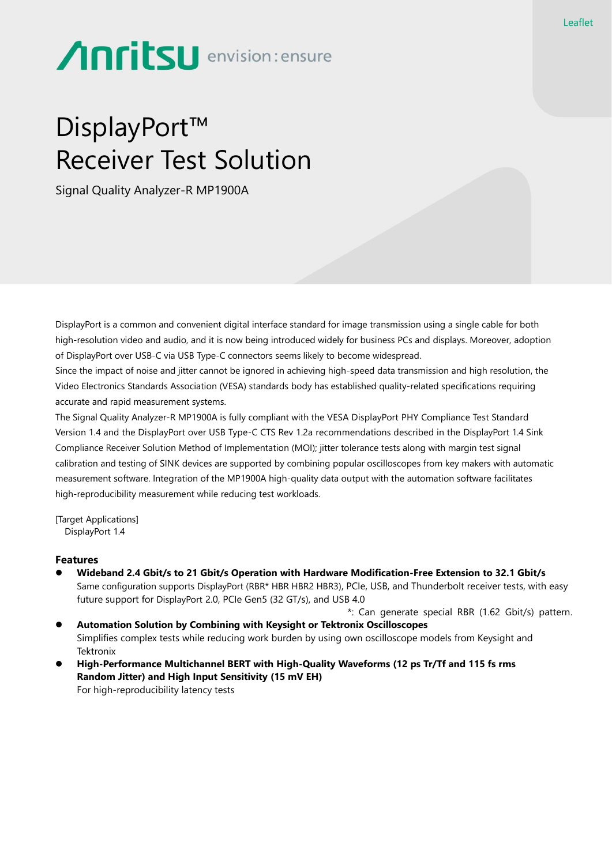# Anritsu envision: ensure

## DisplayPort™ Receiver Test Solution

Signal Quality Analyzer-R MP1900A

DisplayPort is a common and convenient digital interface standard for image transmission using a single cable for both high-resolution video and audio, and it is now being introduced widely for business PCs and displays. Moreover, adoption of DisplayPort over USB-C via USB Type-C connectors seems likely to become widespread.

Since the impact of noise and jitter cannot be ignored in achieving high-speed data transmission and high resolution, the Video Electronics Standards Association (VESA) standards body has established quality-related specifications requiring accurate and rapid measurement systems.

The Signal Quality Analyzer-R MP1900A is fully compliant with the VESA DisplayPort PHY Compliance Test Standard Version 1.4 and the DisplayPort over USB Type-C CTS Rev 1.2a recommendations described in the DisplayPort 1.4 Sink Compliance Receiver Solution Method of Implementation (MOI); jitter tolerance tests along with margin test signal calibration and testing of SINK devices are supported by combining popular oscilloscopes from key makers with automatic measurement software. Integration of the MP1900A high-quality data output with the automation software facilitates high-reproducibility measurement while reducing test workloads.

[Target Applications] DisplayPort 1.4

### **Features**

- ⚫ **Wideband 2.4 Gbit/s to 21 Gbit/s Operation with Hardware Modification-Free Extension to 32.1 Gbit/s** Same configuration supports DisplayPort (RBR\* HBR HBR2 HBR3), PCIe, USB, and Thunderbolt receiver tests, with easy future support for DisplayPort 2.0, PCIe Gen5 (32 GT/s), and USB 4.0
- \*: Can generate special RBR (1.62 Gbit/s) pattern. ⚫ **Automation Solution by Combining with Keysight or Tektronix Oscilloscopes** Simplifies complex tests while reducing work burden by using own oscilloscope models from Keysight and **Tektronix**
- ⚫ **High-Performance Multichannel BERT with High-Quality Waveforms (12 ps Tr/Tf and 115 fs rms Random Jitter) and High Input Sensitivity (15 mV EH)** For high-reproducibility latency tests